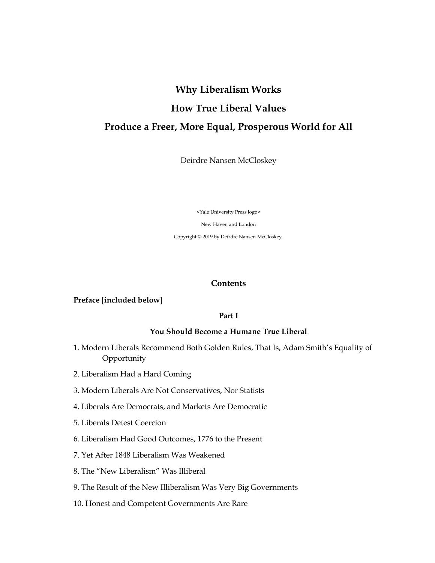# **Why Liberalism Works How True Liberal Values Produce a Freer, More Equal, Prosperous World for All**

Deirdre Nansen McCloskey

<Yale University Press logo> New Haven and London Copyright © 2019 by Deirdre Nansen McCloskey.

# **Contents**

# **Preface [included below]**

## **Part I**

## **You Should Become a Humane True Liberal**

- 1. Modern Liberals Recommend Both Golden Rules, That Is, Adam Smith's Equality of Opportunity
- 2. Liberalism Had a Hard Coming
- 3. Modern Liberals Are Not Conservatives, Nor Statists
- 4. Liberals Are Democrats, and Markets Are Democratic
- 5. Liberals Detest Coercion
- 6. Liberalism Had Good Outcomes, 1776 to the Present
- 7. Yet After 1848 Liberalism Was Weakened
- 8. The "New Liberalism" Was Illiberal
- 9. The Result of the New Illiberalism Was Very Big Governments
- 10. Honest and Competent Governments Are Rare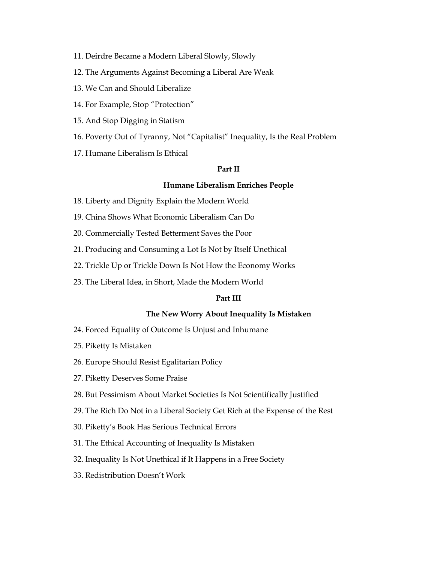- 11. Deirdre Became a Modern Liberal Slowly, Slowly
- 12. The Arguments Against Becoming a Liberal Are Weak
- 13. We Can and Should Liberalize
- 14. For Example, Stop "Protection"
- 15. And Stop Digging in Statism
- 16. Poverty Out of Tyranny, Not "Capitalist" Inequality, Is the Real Problem
- 17. Humane Liberalism Is Ethical

## **Part II**

#### **Humane Liberalism Enriches People**

- 18. Liberty and Dignity Explain the Modern World
- 19. China Shows What Economic Liberalism Can Do
- 20. Commercially Tested Betterment Saves the Poor
- 21. Producing and Consuming a Lot Is Not by Itself Unethical
- 22. Trickle Up or Trickle Down Is Not How the Economy Works
- 23. The Liberal Idea, in Short, Made the Modern World

#### **Part III**

#### **The New Worry About Inequality Is Mistaken**

- 24. Forced Equality of Outcome Is Unjust and Inhumane
- 25. Piketty Is Mistaken
- 26. Europe Should Resist Egalitarian Policy
- 27. Piketty Deserves Some Praise
- 28. But Pessimism About Market Societies Is Not Scientifically Justified
- 29. The Rich Do Not in a Liberal Society Get Rich at the Expense of the Rest
- 30. Piketty's Book Has Serious Technical Errors
- 31. The Ethical Accounting of Inequality Is Mistaken
- 32. Inequality Is Not Unethical if It Happens in a Free Society
- 33. Redistribution Doesn't Work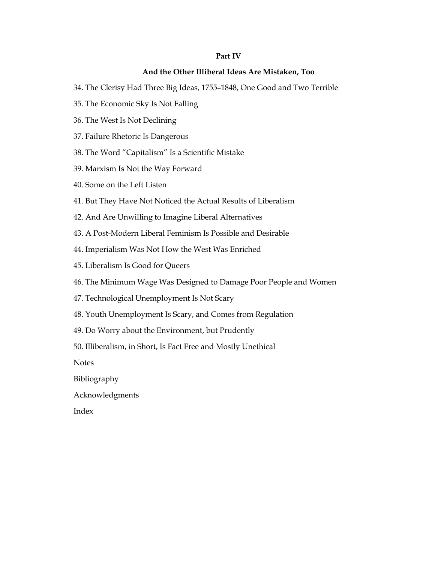## **Part IV**

# **And the Other Illiberal Ideas Are Mistaken, Too**

- 34. The Clerisy Had Three Big Ideas, 1755–1848, One Good and Two Terrible
- 35. The Economic Sky Is Not Falling
- 36. The West Is Not Declining
- 37. Failure Rhetoric Is Dangerous
- 38. The Word "Capitalism" Is a Scientific Mistake
- 39. Marxism Is Not the Way Forward
- 40. Some on the Left Listen
- 41. But They Have Not Noticed the Actual Results of Liberalism
- 42. And Are Unwilling to Imagine Liberal Alternatives
- 43. A Post-Modern Liberal Feminism Is Possible and Desirable
- 44. Imperialism Was Not How the West Was Enriched
- 45. Liberalism Is Good for Queers
- 46. The Minimum Wage Was Designed to Damage Poor People and Women
- 47. Technological Unemployment Is Not Scary
- 48. Youth Unemployment Is Scary, and Comes from Regulation
- 49. Do Worry about the Environment, but Prudently
- 50. Illiberalism, in Short, Is Fact Free and Mostly Unethical

**Notes** 

- Bibliography
- Acknowledgments

Index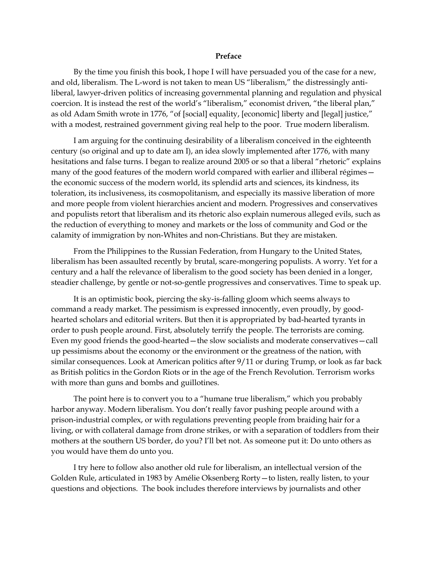#### **Preface**

By the time you finish this book, I hope I will have persuaded you of the case for a new, and old, liberalism. The L-word is not taken to mean US "liberalism," the distressingly antiliberal, lawyer-driven politics of increasing governmental planning and regulation and physical coercion. It is instead the rest of the world's "liberalism," economist driven, "the liberal plan," as old Adam Smith wrote in 1776, "of [social] equality, [economic] liberty and [legal] justice," with a modest, restrained government giving real help to the poor. True modern liberalism.

I am arguing for the continuing desirability of a liberalism conceived in the eighteenth century (so original and up to date am I), an idea slowly implemented after 1776, with many hesitations and false turns. I began to realize around 2005 or so that a liberal "rhetoric" explains many of the good features of the modern world compared with earlier and illiberal régimes the economic success of the modern world, its splendid arts and sciences, its kindness, its toleration, its inclusiveness, its cosmopolitanism, and especially its massive liberation of more and more people from violent hierarchies ancient and modern. Progressives and conservatives and populists retort that liberalism and its rhetoric also explain numerous alleged evils, such as the reduction of everything to money and markets or the loss of community and God or the calamity of immigration by non-Whites and non-Christians. But they are mistaken.

From the Philippines to the Russian Federation, from Hungary to the United States, liberalism has been assaulted recently by brutal, scare-mongering populists. A worry. Yet for a century and a half the relevance of liberalism to the good society has been denied in a longer, steadier challenge, by gentle or not-so-gentle progressives and conservatives. Time to speak up.

It is an optimistic book, piercing the sky-is-falling gloom which seems always to command a ready market. The pessimism is expressed innocently, even proudly, by goodhearted scholars and editorial writers. But then it is appropriated by bad-hearted tyrants in order to push people around. First, absolutely terrify the people. The terrorists are coming. Even my good friends the good-hearted—the slow socialists and moderate conservatives—call up pessimisms about the economy or the environment or the greatness of the nation, with similar consequences. Look at American politics after 9/11 or during Trump, or look as far back as British politics in the Gordon Riots or in the age of the French Revolution. Terrorism works with more than guns and bombs and guillotines.

The point here is to convert you to a "humane true liberalism," which you probably harbor anyway. Modern liberalism. You don't really favor pushing people around with a prison-industrial complex, or with regulations preventing people from braiding hair for a living, or with collateral damage from drone strikes, or with a separation of toddlers from their mothers at the southern US border, do you? I'll bet not. As someone put it: Do unto others as you would have them do unto you.

I try here to follow also another old rule for liberalism, an intellectual version of the Golden Rule, articulated in 1983 by Amélie Oksenberg Rorty—to listen, really listen, to your questions and objections. The book includes therefore interviews by journalists and other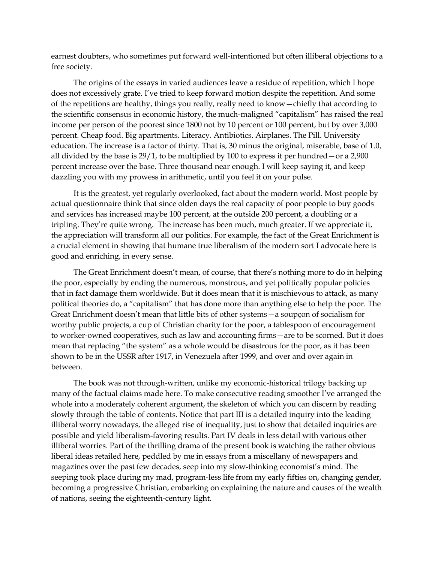earnest doubters, who sometimes put forward well-intentioned but often illiberal objections to a free society.

The origins of the essays in varied audiences leave a residue of repetition, which I hope does not excessively grate. I've tried to keep forward motion despite the repetition. And some of the repetitions are healthy, things you really, really need to know—chiefly that according to the scientific consensus in economic history, the much-maligned "capitalism" has raised the real income per person of the poorest since 1800 not by 10 percent or 100 percent, but by over 3,000 percent. Cheap food. Big apartments. Literacy. Antibiotics. Airplanes. The Pill. University education. The increase is a factor of thirty. That is, 30 minus the original, miserable, base of 1.0, all divided by the base is  $29/1$ , to be multiplied by 100 to express it per hundred  $-$  or a 2,900 percent increase over the base. Three thousand near enough. I will keep saying it, and keep dazzling you with my prowess in arithmetic, until you feel it on your pulse.

It is the greatest, yet regularly overlooked, fact about the modern world. Most people by actual questionnaire think that since olden days the real capacity of poor people to buy goods and services has increased maybe 100 percent, at the outside 200 percent, a doubling or a tripling. They're quite wrong. The increase has been much, much greater. If we appreciate it, the appreciation will transform all our politics. For example, the fact of the Great Enrichment is a crucial element in showing that humane true liberalism of the modern sort I advocate here is good and enriching, in every sense.

The Great Enrichment doesn't mean, of course, that there's nothing more to do in helping the poor, especially by ending the numerous, monstrous, and yet politically popular policies that in fact damage them worldwide. But it does mean that it is mischievous to attack, as many political theories do, a "capitalism" that has done more than anything else to help the poor. The Great Enrichment doesn't mean that little bits of other systems—a soupçon of socialism for worthy public projects, a cup of Christian charity for the poor, a tablespoon of encouragement to worker-owned cooperatives, such as law and accounting firms—are to be scorned. But it does mean that replacing "the system" as a whole would be disastrous for the poor, as it has been shown to be in the USSR after 1917, in Venezuela after 1999, and over and over again in between.

The book was not through-written, unlike my economic-historical trilogy backing up many of the factual claims made here. To make consecutive reading smoother I've arranged the whole into a moderately coherent argument, the skeleton of which you can discern by reading slowly through the table of contents. Notice that part III is a detailed inquiry into the leading illiberal worry nowadays, the alleged rise of inequality, just to show that detailed inquiries are possible and yield liberalism-favoring results. Part IV deals in less detail with various other illiberal worries. Part of the thrilling drama of the present book is watching the rather obvious liberal ideas retailed here, peddled by me in essays from a miscellany of newspapers and magazines over the past few decades, seep into my slow-thinking economist's mind. The seeping took place during my mad, program-less life from my early fifties on, changing gender, becoming a progressive Christian, embarking on explaining the nature and causes of the wealth of nations, seeing the eighteenth-century light.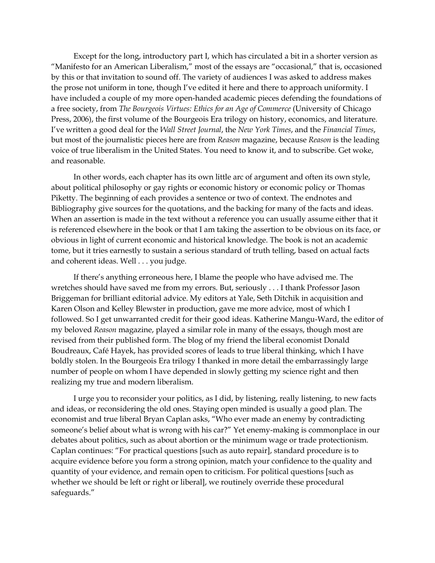Except for the long, introductory part I, which has circulated a bit in a shorter version as "Manifesto for an American Liberalism," most of the essays are "occasional," that is, occasioned by this or that invitation to sound off. The variety of audiences I was asked to address makes the prose not uniform in tone, though I've edited it here and there to approach uniformity. I have included a couple of my more open-handed academic pieces defending the foundations of a free society, from *The Bourgeois Virtues: Ethics for an Age of Commerce* (University of Chicago Press, 2006), the first volume of the Bourgeois Era trilogy on history, economics, and literature. I've written a good deal for the *Wall Street Journal*, the *New York Times*, and the *Financial Times*, but most of the journalistic pieces here are from *Reason* magazine, because *Reason* is the leading voice of true liberalism in the United States. You need to know it, and to subscribe. Get woke, and reasonable.

In other words, each chapter has its own little arc of argument and often its own style, about political philosophy or gay rights or economic history or economic policy or Thomas Piketty. The beginning of each provides a sentence or two of context. The endnotes and Bibliography give sources for the quotations, and the backing for many of the facts and ideas. When an assertion is made in the text without a reference you can usually assume either that it is referenced elsewhere in the book or that I am taking the assertion to be obvious on its face, or obvious in light of current economic and historical knowledge. The book is not an academic tome, but it tries earnestly to sustain a serious standard of truth telling, based on actual facts and coherent ideas. Well . . . you judge.

If there's anything erroneous here, I blame the people who have advised me. The wretches should have saved me from my errors. But, seriously . . . I thank Professor Jason Briggeman for brilliant editorial advice. My editors at Yale, Seth Ditchik in acquisition and Karen Olson and Kelley Blewster in production, gave me more advice, most of which I followed. So I get unwarranted credit for their good ideas. Katherine Mangu-Ward, the editor of my beloved *Reason* magazine, played a similar role in many of the essays, though most are revised from their published form. The blog of my friend the liberal economist Donald Boudreaux, Café Hayek, has provided scores of leads to true liberal thinking, which I have boldly stolen. In the Bourgeois Era trilogy I thanked in more detail the embarrassingly large number of people on whom I have depended in slowly getting my science right and then realizing my true and modern liberalism.

I urge you to reconsider your politics, as I did, by listening, really listening, to new facts and ideas, or reconsidering the old ones. Staying open minded is usually a good plan. The economist and true liberal Bryan Caplan asks, "Who ever made an enemy by contradicting someone's belief about what is wrong with his car?" Yet enemy-making is commonplace in our debates about politics, such as about abortion or the minimum wage or trade protectionism. Caplan continues: "For practical questions [such as auto repair], standard procedure is to acquire evidence before you form a strong opinion, match your confidence to the quality and quantity of your evidence, and remain open to criticism. For political questions [such as whether we should be left or right or liberal], we routinely override these procedural safeguards."